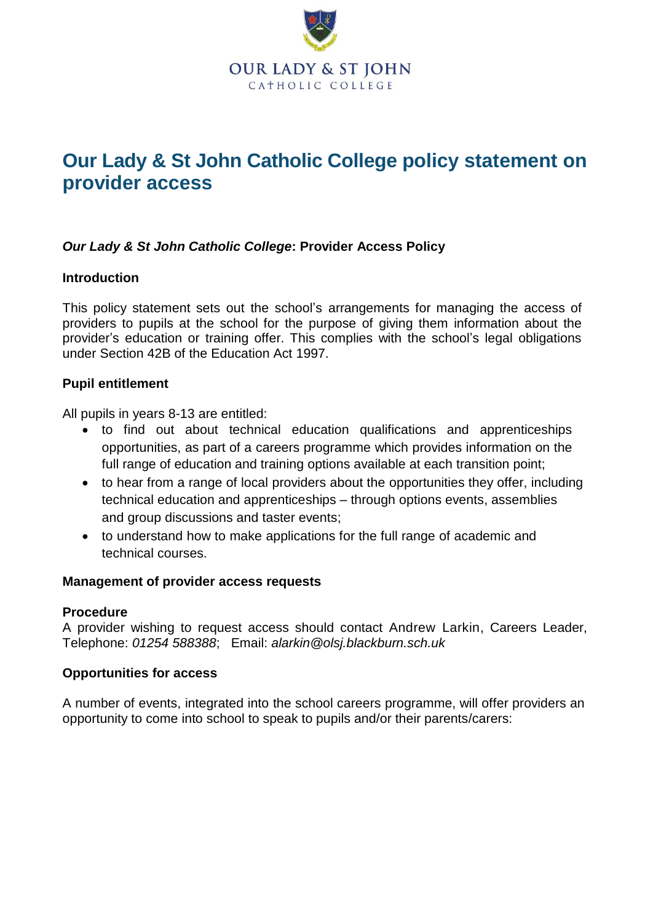

# **Our Lady & St John Catholic College policy statement on provider access**

# *Our Lady & St John Catholic College***: Provider Access Policy**

# **Introduction**

This policy statement sets out the school's arrangements for managing the access of providers to pupils at the school for the purpose of giving them information about the provider's education or training offer. This complies with the school's legal obligations under Section 42B of the Education Act 1997.

# **Pupil entitlement**

All pupils in years 8-13 are entitled:

- to find out about technical education qualifications and apprenticeships opportunities, as part of a careers programme which provides information on the full range of education and training options available at each transition point;
- to hear from a range of local providers about the opportunities they offer, including technical education and apprenticeships – through options events, assemblies and group discussions and taster events;
- to understand how to make applications for the full range of academic and technical courses.

### **Management of provider access requests**

#### **Procedure**

A provider wishing to request access should contact Andrew Larkin, Careers Leader, Telephone: *01254 588388*; Email: *alarkin@olsj.blackburn.sch.uk*

#### **Opportunities for access**

A number of events, integrated into the school careers programme, will offer providers an opportunity to come into school to speak to pupils and/or their parents/carers: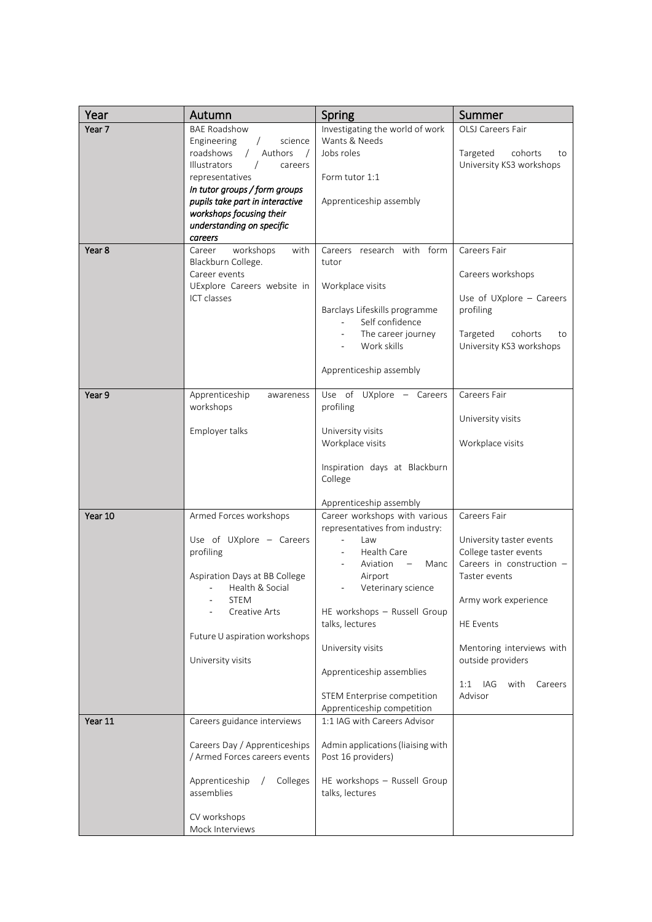| Year    | Autumn                                                                                                                                                                                                    | Spring                                                                                                                                                                                                                                                                                           | Summer                                                                                                                                                                                                                                                    |
|---------|-----------------------------------------------------------------------------------------------------------------------------------------------------------------------------------------------------------|--------------------------------------------------------------------------------------------------------------------------------------------------------------------------------------------------------------------------------------------------------------------------------------------------|-----------------------------------------------------------------------------------------------------------------------------------------------------------------------------------------------------------------------------------------------------------|
| Year 7  | <b>BAE Roadshow</b><br>Engineering<br>science<br>roadshows<br>Authors<br>$\sqrt{2}$<br>$\sqrt{ }$<br>Illustrators<br>careers<br>representatives                                                           | Investigating the world of work<br>Wants & Needs<br>Jobs roles<br>Form tutor 1:1                                                                                                                                                                                                                 | OLSJ Careers Fair<br>Targeted<br>cohorts<br>to<br>University KS3 workshops                                                                                                                                                                                |
|         | In tutor groups / form groups<br>pupils take part in interactive<br>workshops focusing their<br>understanding on specific<br>careers                                                                      | Apprenticeship assembly                                                                                                                                                                                                                                                                          |                                                                                                                                                                                                                                                           |
| Year 8  | workshops<br>with<br>Career<br>Blackburn College.<br>Career events<br>UExplore Careers website in<br>ICT classes                                                                                          | Careers research with form<br>tutor<br>Workplace visits<br>Barclays Lifeskills programme<br>Self confidence<br>The career journey<br>Work skills<br>Apprenticeship assembly                                                                                                                      | Careers Fair<br>Careers workshops<br>Use of UXplore - Careers<br>profiling<br>Targeted<br>cohorts<br>to<br>University KS3 workshops                                                                                                                       |
| Year 9  | Apprenticeship<br>awareness<br>workshops<br>Employer talks                                                                                                                                                | Use of UXplore - Careers<br>profiling<br>University visits<br>Workplace visits                                                                                                                                                                                                                   | Careers Fair<br>University visits<br>Workplace visits                                                                                                                                                                                                     |
|         |                                                                                                                                                                                                           | Inspiration days at Blackburn<br>College<br>Apprenticeship assembly                                                                                                                                                                                                                              |                                                                                                                                                                                                                                                           |
| Year 10 | Armed Forces workshops<br>Use of UXplore - Careers<br>profiling<br>Aspiration Days at BB College<br>Health & Social<br><b>STEM</b><br>Creative Arts<br>Future U aspiration workshops<br>University visits | Career workshops with various<br>representatives from industry:<br>Law<br>÷,<br>Health Care<br>Aviation<br>Manc<br>$\equiv$<br>Airport<br>Veterinary science<br>HE workshops - Russell Group<br>talks, lectures<br>University visits<br>Apprenticeship assemblies<br>STEM Enterprise competition | Careers Fair<br>University taster events<br>College taster events<br>Careers in construction -<br>Taster events<br>Army work experience<br><b>HE Events</b><br>Mentoring interviews with<br>outside providers<br>1:1<br>IAG<br>with<br>Careers<br>Advisor |
| Year 11 | Careers guidance interviews<br>Careers Day / Apprenticeships<br>/ Armed Forces careers events<br>Apprenticeship<br>Colleges<br>assemblies<br>CV workshops<br>Mock Interviews                              | Apprenticeship competition<br>1:1 IAG with Careers Advisor<br>Admin applications (liaising with<br>Post 16 providers)<br>HE workshops - Russell Group<br>talks, lectures                                                                                                                         |                                                                                                                                                                                                                                                           |